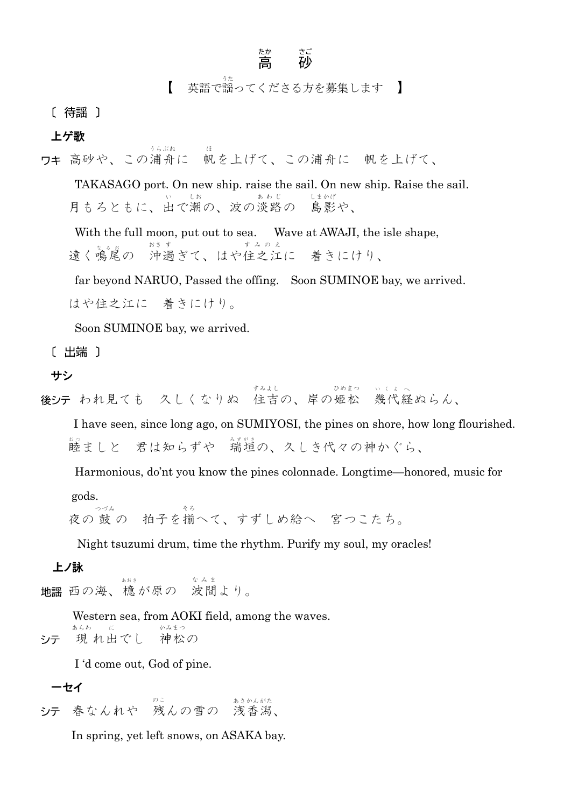## たか さご<br>高 砂

【 英語で謡 うた ってくださる方を募集します 】

[ 待謡 ]

上ゲ歌

ワキ 高砂や、この浦舟に に 帆を上げて、この浦舟に 帆を上げて、

TAKASAGO port. On new ship. raise the sail. On new ship. Raise the sail. 月もろともに、出で潮の、波の淡路。 い しお あ わ じ の 島影や、 しまかげ

With the full moon, put out to sea. Wave at AWAJI, the isle shape, 遠く鳴尾の 沖過ぎて、はや住之江に す み の え に 着きにけり、

far beyond NARUO, Passed the offing. Soon SUMINOE bay, we arrived.

はや住之江に 着きにけり。

Soon SUMINOE bay, we arrived.

うらぶね

[ 出端 ]

サシ

ちん見ても 久しくなりぬ 住吉の、岸の姫松 幾代 い く よ 、<br>経ぬらん、

 I have seen, since long ago, on SUMIYOSI, the pines on shore, how long flourished. 睦ましと 君は知らずや 『瑞瑄の、久しき代々の神かぐら、

Harmonious, do'nt you know the pines colonnade. Longtime—honored, music for

gods.

、つっ<sub>ね</sub><br>夜の 鼓 の 拍子を揃へて、すずしめ給へ 宮つこたち。

Night tsuzumi drum, time the rhythm. Purify my soul, my oracles!

## 上ノ詠

 $\mathbb{E}\left[ \begin{matrix} \mathbb{H} & \mathbb{H}^{\mathbb{H}} \\ \mathbb{H} & \mathbb{H} \end{matrix} \right] \mathbb{E}\left[ \begin{matrix} \mathbb{H} & \mathbb{H}^{\mathbb{H}} \\ \mathbb{H} & \mathbb{H} \end{matrix} \right].$ な み ま より。

 Western sea, from AOKI field, among the waves. あらわ に かみ まつ 現れ出でし 神 松の シテ

I 'd come out, God of pine.

一セイ 春なんれや 残 のこんの雪の 浅香 あさかん 潟 がた、

In spring, yet left snows, on ASAKA bay.